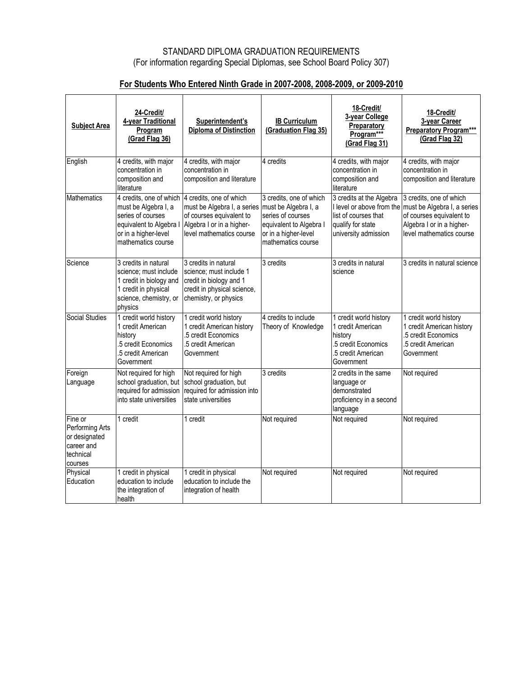## STANDARD DIPLOMA GRADUATION REQUIREMENTS (For information regarding Special Diplomas, see School Board Policy 307)

## **For Students Who Entered Ninth Grade in 2007-2008, 2008-2009, or 2009-2010**

| <b>Subject Area</b>                                                               | 24-Credit/<br>4-year Traditional<br>Program<br>(Grad Flag 36)                                                                                                         | Superintendent's<br><b>Diploma of Distinction</b>                                                                                  | <b>IB Curriculum</b><br>(Graduation Flag 35)                                                                                                  | 18-Credit/<br>3-year College<br>Preparatory<br>Program***<br>(Grad Flag 31)                                                | 18-Credit/<br>3-year Career<br><b>Preparatory Program***</b><br>(Grad Flag 32)                                                              |
|-----------------------------------------------------------------------------------|-----------------------------------------------------------------------------------------------------------------------------------------------------------------------|------------------------------------------------------------------------------------------------------------------------------------|-----------------------------------------------------------------------------------------------------------------------------------------------|----------------------------------------------------------------------------------------------------------------------------|---------------------------------------------------------------------------------------------------------------------------------------------|
| English                                                                           | 4 credits, with major<br>concentration in<br>composition and<br>literature                                                                                            | 4 credits, with major<br>concentration in<br>composition and literature                                                            | 4 credits                                                                                                                                     | 4 credits, with major<br>concentration in<br>composition and<br>literature                                                 | 4 credits, with major<br>concentration in<br>composition and literature                                                                     |
| <b>Mathematics</b>                                                                | 4 credits, one of which 4 credits, one of which<br>must be Algebra I, a<br>series of courses<br>equivalent to Algebra I<br>or in a higher-level<br>mathematics course | must be Algebra I, a series<br>of courses equivalent to<br>Algebra I or in a higher-<br>level mathematics course                   | 3 credits, one of which<br>must be Algebra I, a<br>series of courses<br>equivalent to Algebra I<br>or in a higher-level<br>mathematics course | 3 credits at the Algebra<br>I level or above from the<br>list of courses that<br>qualify for state<br>university admission | 3 credits, one of which<br>must be Algebra I, a series<br>of courses equivalent to<br>Algebra I or in a higher-<br>level mathematics course |
| Science                                                                           | 3 credits in natural<br>science; must include<br>1 credit in biology and<br>1 credit in physical<br>science, chemistry, or<br>physics                                 | 3 credits in natural<br>science; must include 1<br>credit in biology and 1<br>credit in physical science,<br>chemistry, or physics | 3 credits                                                                                                                                     | 3 credits in natural<br>science                                                                                            | 3 credits in natural science                                                                                                                |
| Social Studies                                                                    | 1 credit world history<br>1 credit American<br>history<br>.5 credit Economics<br>.5 credit American<br>Government                                                     | 1 credit world history<br>1 credit American history<br>5 credit Economics<br>.5 credit American<br>Government                      | 4 credits to include<br>Theory of Knowledge                                                                                                   | 1 credit world history<br>1 credit American<br>history<br>.5 credit Economics<br>.5 credit American<br>Government          | 1 credit world history<br>1 credit American history<br>5 credit Economics<br>5 credit American<br>Government                                |
| Foreign<br>Language                                                               | Not required for high<br>school graduation, but<br>required for admission<br>into state universities                                                                  | Not required for high<br>school graduation, but<br>required for admission into<br>state universities                               | 3 credits                                                                                                                                     | 2 credits in the same<br>language or<br>demonstrated<br>proficiency in a second<br>language                                | Not required                                                                                                                                |
| Fine or<br>Performing Arts<br>or designated<br>career and<br>technical<br>courses | 1 credit                                                                                                                                                              | 1 credit                                                                                                                           | Not required                                                                                                                                  | Not required                                                                                                               | Not required                                                                                                                                |
| Physical<br>Education                                                             | 1 credit in physical<br>education to include<br>the integration of<br>health                                                                                          | 1 credit in physical<br>education to include the<br>integration of health                                                          | Not required                                                                                                                                  | Not required                                                                                                               | Not required                                                                                                                                |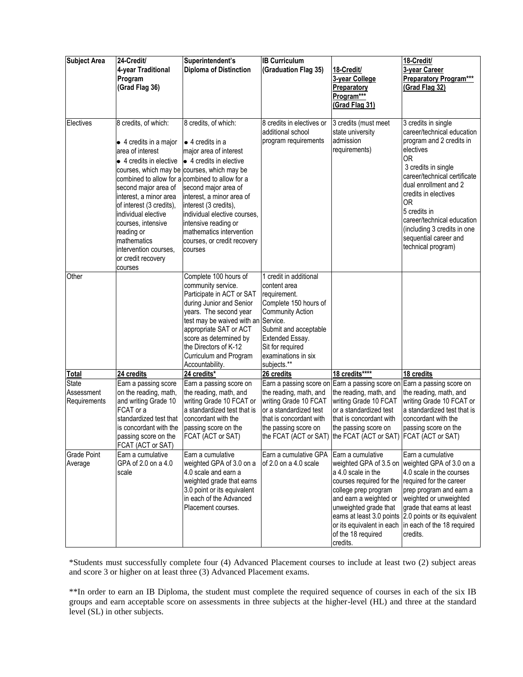| <b>Subject Area</b> | 24-Credit/<br>4-year Traditional<br>Program | Superintendent's<br><b>Diploma of Distinction</b> | <b>IB Curriculum</b><br>(Graduation Flag 35) | 18-Credit/<br>3-year College                                  | 18-Credit/<br>3-year Career<br><b>Preparatory Program***</b> |
|---------------------|---------------------------------------------|---------------------------------------------------|----------------------------------------------|---------------------------------------------------------------|--------------------------------------------------------------|
|                     |                                             |                                                   |                                              |                                                               |                                                              |
|                     | (Grad Flag 36)                              |                                                   |                                              | Preparatory<br>Program***                                     | (Grad Flag 32)                                               |
|                     |                                             |                                                   |                                              |                                                               |                                                              |
|                     |                                             |                                                   |                                              | (Grad Flag 31)                                                |                                                              |
| Electives           | 8 credits, of which:                        | 8 credits, of which:                              | 8 credits in electives or                    | 3 credits (must meet                                          | 3 credits in single                                          |
|                     |                                             |                                                   | additional school                            | state university                                              | career/technical education                                   |
|                     | • 4 credits in a major                      | $\bullet$ 4 credits in a                          | program requirements                         | admission                                                     | program and 2 credits in                                     |
|                     | area of interest                            | major area of interest                            |                                              | requirements)                                                 | electives                                                    |
|                     | • 4 credits in elective                     | • 4 credits in elective                           |                                              |                                                               | <b>OR</b>                                                    |
|                     |                                             | courses, which may be courses, which may be       |                                              |                                                               | 3 credits in single                                          |
|                     |                                             | combined to allow for a combined to allow for a   |                                              |                                                               | career/technical certificate                                 |
|                     | second major area of                        | second major area of                              |                                              |                                                               | dual enrollment and 2                                        |
|                     | interest, a minor area                      | interest, a minor area of                         |                                              |                                                               | credits in electives<br>0R                                   |
|                     | of interest (3 credits),                    | interest (3 credits),                             |                                              |                                                               | 5 credits in                                                 |
|                     | individual elective                         | individual elective courses,                      |                                              |                                                               | career/technical education                                   |
|                     | courses, intensive                          | intensive reading or                              |                                              |                                                               |                                                              |
|                     | reading or                                  | mathematics intervention                          |                                              |                                                               | (including 3 credits in one                                  |
|                     | mathematics                                 | courses, or credit recovery                       |                                              |                                                               | sequential career and<br>technical program)                  |
|                     | intervention courses.                       | courses                                           |                                              |                                                               |                                                              |
|                     | or credit recovery                          |                                                   |                                              |                                                               |                                                              |
|                     | courses                                     |                                                   |                                              |                                                               |                                                              |
| Other               |                                             | Complete 100 hours of                             | 1 credit in additional                       |                                                               |                                                              |
|                     |                                             | community service.                                | content area                                 |                                                               |                                                              |
|                     |                                             | Participate in ACT or SAT                         | requirement.                                 |                                                               |                                                              |
|                     |                                             | during Junior and Senior                          | Complete 150 hours of                        |                                                               |                                                              |
|                     |                                             | years. The second year                            | <b>Community Action</b>                      |                                                               |                                                              |
|                     |                                             | test may be waived with an                        | Service.                                     |                                                               |                                                              |
|                     |                                             | appropriate SAT or ACT                            | Submit and acceptable                        |                                                               |                                                              |
|                     |                                             | score as determined by                            | Extended Essay.                              |                                                               |                                                              |
|                     |                                             | the Directors of K-12                             | Sit for required<br>examinations in six      |                                                               |                                                              |
|                     |                                             | Curriculum and Program<br>Accountability.         | subjects.**                                  |                                                               |                                                              |
| Total               | 24 credits                                  | 24 credits*                                       | 26 credits                                   | 18 credits****                                                | 18 credits                                                   |
| <b>State</b>        | Earn a passing score                        | Earn a passing score on                           | Earn a passing score on                      | Earn a passing score on                                       | Earn a passing score on                                      |
| Assessment          | on the reading, math,                       | the reading, math, and                            | the reading, math, and                       | the reading, math, and                                        | the reading, math, and                                       |
| Requirements        | and writing Grade 10                        | writing Grade 10 FCAT or                          | writing Grade 10 FCAT                        | writing Grade 10 FCAT                                         | writing Grade 10 FCAT or                                     |
|                     | FCAT or a                                   | a standardized test that is                       | or a standardized test                       | or a standardized test                                        | a standardized test that is                                  |
|                     | standardized test that                      | concordant with the                               | that is concordant with                      | that is concordant with                                       | concordant with the                                          |
|                     | is concordant with the                      | passing score on the                              | the passing score on                         | the passing score on                                          | passing score on the                                         |
|                     | passing score on the                        | FCAT (ACT or SAT)                                 |                                              | the FCAT (ACT or SAT) the FCAT (ACT or SAT) FCAT (ACT or SAT) |                                                              |
|                     | FCAT (ACT or SAT)                           |                                                   |                                              |                                                               |                                                              |
| <b>Grade Point</b>  | Earn a cumulative                           | Earn a cumulative                                 | Earn a cumulative GPA                        | Earn a cumulative                                             | Earn a cumulative                                            |
| Average             | GPA of 2.0 on a 4.0                         | weighted GPA of 3.0 on a                          | of 2.0 on a 4.0 scale                        |                                                               | weighted GPA of 3.5 on weighted GPA of 3.0 on a              |
|                     | scale                                       | 4.0 scale and earn a                              |                                              | a 4.0 scale in the                                            | 4.0 scale in the courses                                     |
|                     |                                             | weighted grade that earns                         |                                              | courses required for the required for the career              |                                                              |
|                     |                                             | 3.0 point or its equivalent                       |                                              | college prep program                                          | prep program and earn a                                      |
|                     |                                             | in each of the Advanced                           |                                              | and earn a weighted or                                        | weighted or unweighted                                       |
|                     |                                             | Placement courses.                                |                                              | unweighted grade that                                         | grade that earns at least                                    |
|                     |                                             |                                                   |                                              |                                                               | earns at least 3.0 points 2.0 points or its equivalent       |
|                     |                                             |                                                   |                                              | or its equivalent in each                                     | in each of the 18 required                                   |
|                     |                                             |                                                   |                                              | of the 18 required                                            | credits.                                                     |
|                     |                                             |                                                   |                                              | credits.                                                      |                                                              |

\*Students must successfully complete four (4) Advanced Placement courses to include at least two (2) subject areas and score 3 or higher on at least three (3) Advanced Placement exams.

\*\*In order to earn an IB Diploma, the student must complete the required sequence of courses in each of the six IB groups and earn acceptable score on assessments in three subjects at the higher-level (HL) and three at the standard level (SL) in other subjects.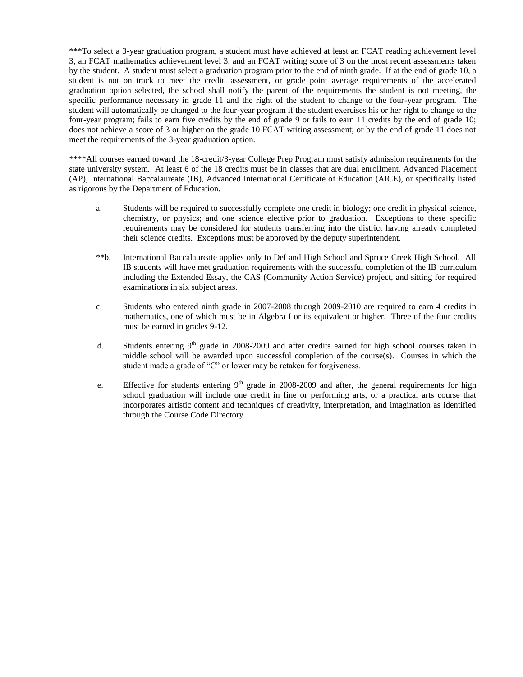\*\*\*To select a 3-year graduation program, a student must have achieved at least an FCAT reading achievement level 3, an FCAT mathematics achievement level 3, and an FCAT writing score of 3 on the most recent assessments taken by the student. A student must select a graduation program prior to the end of ninth grade. If at the end of grade 10, a student is not on track to meet the credit, assessment, or grade point average requirements of the accelerated graduation option selected, the school shall notify the parent of the requirements the student is not meeting, the specific performance necessary in grade 11 and the right of the student to change to the four-year program. The student will automatically be changed to the four-year program if the student exercises his or her right to change to the four-year program; fails to earn five credits by the end of grade 9 or fails to earn 11 credits by the end of grade 10; does not achieve a score of 3 or higher on the grade 10 FCAT writing assessment; or by the end of grade 11 does not meet the requirements of the 3-year graduation option.

\*\*\*\*All courses earned toward the 18-credit/3-year College Prep Program must satisfy admission requirements for the state university system. At least 6 of the 18 credits must be in classes that are dual enrollment, Advanced Placement (AP), International Baccalaureate (IB), Advanced International Certificate of Education (AICE), or specifically listed as rigorous by the Department of Education.

- a. Students will be required to successfully complete one credit in biology; one credit in physical science, chemistry, or physics; and one science elective prior to graduation. Exceptions to these specific requirements may be considered for students transferring into the district having already completed their science credits. Exceptions must be approved by the deputy superintendent.
- \*\*b. International Baccalaureate applies only to DeLand High School and Spruce Creek High School. All IB students will have met graduation requirements with the successful completion of the IB curriculum including the Extended Essay, the CAS (Community Action Service) project, and sitting for required examinations in six subject areas.
- c. Students who entered ninth grade in 2007-2008 through 2009-2010 are required to earn 4 credits in mathematics, one of which must be in Algebra I or its equivalent or higher. Three of the four credits must be earned in grades 9-12.
- d. Students entering  $9<sup>th</sup>$  grade in 2008-2009 and after credits earned for high school courses taken in middle school will be awarded upon successful completion of the course $(s)$ . Courses in which the student made a grade of "C" or lower may be retaken for forgiveness.
- e. Effective for students entering  $9<sup>th</sup>$  grade in 2008-2009 and after, the general requirements for high school graduation will include one credit in fine or performing arts, or a practical arts course that incorporates artistic content and techniques of creativity, interpretation, and imagination as identified through the Course Code Directory.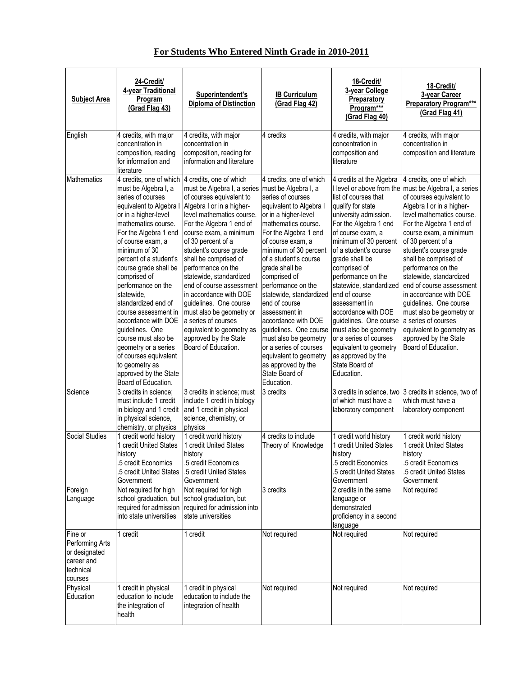## **For Students Who Entered Ninth Grade in 2010-2011**

| <b>Subject Area</b>                                                               | 24-Credit/<br>4-year Traditional<br>Program<br>(Grad Flag 43)                                                                                                                                                                                                                                                                                                                                                                                                                                                                                                                                            | Superintendent's<br><b>Diploma of Distinction</b>                                                                                                                                                                                                                                                                                                                                                                                                                                                                                               | <b>IB Curriculum</b><br>(Grad Flag 42)                                                                                                                                                                                                                                                                                                                                                                                                                                                                                                                               | 18-Credit/<br>3-year College<br>Preparatory<br>Program***<br>(Grad Flag 40)                                                                                                                                                                                                                                                                                                                                                                                                                                                                                       | 18-Credit/<br>3-year Career<br><b>Preparatory Program***</b><br>(Grad Flag 41)                                                                                                                                                                                                                                                                                                                                                                                                                                                                                               |
|-----------------------------------------------------------------------------------|----------------------------------------------------------------------------------------------------------------------------------------------------------------------------------------------------------------------------------------------------------------------------------------------------------------------------------------------------------------------------------------------------------------------------------------------------------------------------------------------------------------------------------------------------------------------------------------------------------|-------------------------------------------------------------------------------------------------------------------------------------------------------------------------------------------------------------------------------------------------------------------------------------------------------------------------------------------------------------------------------------------------------------------------------------------------------------------------------------------------------------------------------------------------|----------------------------------------------------------------------------------------------------------------------------------------------------------------------------------------------------------------------------------------------------------------------------------------------------------------------------------------------------------------------------------------------------------------------------------------------------------------------------------------------------------------------------------------------------------------------|-------------------------------------------------------------------------------------------------------------------------------------------------------------------------------------------------------------------------------------------------------------------------------------------------------------------------------------------------------------------------------------------------------------------------------------------------------------------------------------------------------------------------------------------------------------------|------------------------------------------------------------------------------------------------------------------------------------------------------------------------------------------------------------------------------------------------------------------------------------------------------------------------------------------------------------------------------------------------------------------------------------------------------------------------------------------------------------------------------------------------------------------------------|
| English                                                                           | 4 credits, with major<br>concentration in<br>composition, reading<br>for information and<br>literature                                                                                                                                                                                                                                                                                                                                                                                                                                                                                                   | 4 credits, with major<br>concentration in<br>composition, reading for<br>information and literature                                                                                                                                                                                                                                                                                                                                                                                                                                             | 4 credits                                                                                                                                                                                                                                                                                                                                                                                                                                                                                                                                                            | 4 credits, with major<br>concentration in<br>composition and<br>literature                                                                                                                                                                                                                                                                                                                                                                                                                                                                                        | 4 credits, with major<br>concentration in<br>composition and literature                                                                                                                                                                                                                                                                                                                                                                                                                                                                                                      |
| Mathematics<br>Science                                                            | 4 credits, one of which 4 credits, one of which<br>must be Algebra I, a<br>series of courses<br>equivalent to Algebra I<br>or in a higher-level<br>mathematics course.<br>For the Algebra 1 end<br>of course exam, a<br>minimum of 30<br>percent of a student's<br>course grade shall be<br>comprised of<br>performance on the<br>statewide,<br>standardized end of<br>course assessment in<br>accordance with DOE<br>guidelines. One<br>course must also be<br>geometry or a series<br>of courses equivalent<br>to geometry as<br>approved by the State<br>Board of Education.<br>3 credits in science; | must be Algebra I, a series<br>of courses equivalent to<br>Algebra I or in a higher-<br>level mathematics course.<br>For the Algebra 1 end of<br>course exam, a minimum<br>of 30 percent of a<br>student's course grade<br>shall be comprised of<br>performance on the<br>statewide, standardized<br>end of course assessment<br>in accordance with DOE<br>guidelines. One course<br>must also be geometry or<br>a series of courses<br>equivalent to geometry as<br>approved by the State<br>Board of Education.<br>3 credits in science; must | 4 credits, one of which<br>must be Algebra I, a<br>series of courses<br>equivalent to Algebra I<br>or in a higher-level<br>mathematics course.<br>For the Algebra 1 end<br>of course exam, a<br>minimum of 30 percent<br>of a student's course<br>grade shall be<br>comprised of<br>performance on the<br>statewide, standardized<br>end of course<br>assessment in<br>accordance with DOE<br>guidelines. One course<br>must also be geometry<br>or a series of courses<br>equivalent to geometry<br>as approved by the<br>State Board of<br>Education.<br>3 credits | 4 credits at the Algebra<br>I level or above from the<br>list of courses that<br>qualify for state<br>university admission.<br>For the Algebra 1 end<br>of course exam, a<br>minimum of 30 percent<br>of a student's course<br>grade shall be<br>comprised of<br>performance on the<br>statewide, standardized<br>end of course<br>assessment in<br>accordance with DOE<br>guidelines. One course<br>must also be geometry<br>or a series of courses<br>equivalent to geometry<br>as approved by the<br>State Board of<br>Education.<br>3 credits in science, two | 4 credits, one of which<br>must be Algebra I, a series<br>of courses equivalent to<br>Algebra I or in a higher-<br>level mathematics course.<br>For the Algebra 1 end of<br>course exam, a minimum<br>of 30 percent of a<br>student's course grade<br>shall be comprised of<br>performance on the<br>statewide, standardized<br>end of course assessment<br>in accordance with DOE<br>guidelines. One course<br>must also be geometry or<br>a series of courses<br>equivalent to geometry as<br>approved by the State<br>Board of Education.<br>3 credits in science, two of |
|                                                                                   | must include 1 credit<br>in biology and 1 credit<br>in physical science,<br>chemistry, or physics                                                                                                                                                                                                                                                                                                                                                                                                                                                                                                        | include 1 credit in biology<br>and 1 credit in physical<br>science, chemistry, or<br>physics                                                                                                                                                                                                                                                                                                                                                                                                                                                    |                                                                                                                                                                                                                                                                                                                                                                                                                                                                                                                                                                      | of which must have a<br>laboratory component                                                                                                                                                                                                                                                                                                                                                                                                                                                                                                                      | which must have a<br>laboratory component                                                                                                                                                                                                                                                                                                                                                                                                                                                                                                                                    |
| Social Studies                                                                    | credit world history<br>1 credit United States<br>history<br>5 credit Economics<br>5 credit United States<br>Government                                                                                                                                                                                                                                                                                                                                                                                                                                                                                  | 1 credit world history<br>1 credit United States<br>history<br>5 credit Economics<br>.5 credit United States<br>Government                                                                                                                                                                                                                                                                                                                                                                                                                      | 4 credits to include<br>Theory of Knowledge                                                                                                                                                                                                                                                                                                                                                                                                                                                                                                                          | 1 credit world history<br>1 credit United States<br>history<br>.5 credit Economics<br>.5 credit United States<br>Government                                                                                                                                                                                                                                                                                                                                                                                                                                       | 1 credit world history<br>1 credit United States<br>history<br>5 credit Economics<br>.5 credit United States<br>Government                                                                                                                                                                                                                                                                                                                                                                                                                                                   |
| Foreign<br>Language                                                               | Not required for high<br>school graduation, but school graduation, but<br>into state universities                                                                                                                                                                                                                                                                                                                                                                                                                                                                                                        | Not required for high<br>required for admission required for admission into<br>state universities                                                                                                                                                                                                                                                                                                                                                                                                                                               | 3 credits                                                                                                                                                                                                                                                                                                                                                                                                                                                                                                                                                            | 2 credits in the same<br>language or<br>demonstrated<br>proficiency in a second<br>language                                                                                                                                                                                                                                                                                                                                                                                                                                                                       | Not required                                                                                                                                                                                                                                                                                                                                                                                                                                                                                                                                                                 |
| Fine or<br>Performing Arts<br>or designated<br>career and<br>technical<br>courses | 1 credit                                                                                                                                                                                                                                                                                                                                                                                                                                                                                                                                                                                                 | 1 credit                                                                                                                                                                                                                                                                                                                                                                                                                                                                                                                                        | Not required                                                                                                                                                                                                                                                                                                                                                                                                                                                                                                                                                         | Not required                                                                                                                                                                                                                                                                                                                                                                                                                                                                                                                                                      | Not required                                                                                                                                                                                                                                                                                                                                                                                                                                                                                                                                                                 |
| Physical<br>Education                                                             | credit in physical<br>education to include<br>the integration of<br>health                                                                                                                                                                                                                                                                                                                                                                                                                                                                                                                               | 1 credit in physical<br>education to include the<br>integration of health                                                                                                                                                                                                                                                                                                                                                                                                                                                                       | Not required                                                                                                                                                                                                                                                                                                                                                                                                                                                                                                                                                         | Not required                                                                                                                                                                                                                                                                                                                                                                                                                                                                                                                                                      | Not required                                                                                                                                                                                                                                                                                                                                                                                                                                                                                                                                                                 |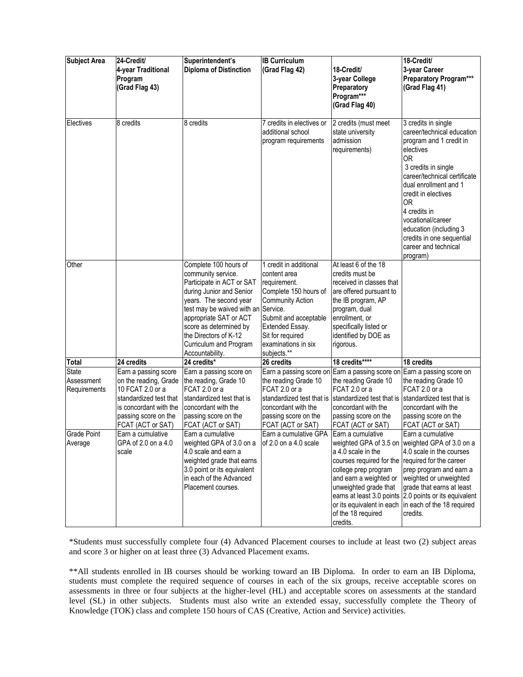| <b>Subject Area</b>                        | 24-Credit/                                                                                                                                                         | Superintendent's                                                                                                                                                                                                                                                                       | <b>IB Curriculum</b>                                                                                                                                                                                                         |                                                                                                                                                                                                                        | 18-Credit/                                                                                                                                                                                                                                                                                                                                          |
|--------------------------------------------|--------------------------------------------------------------------------------------------------------------------------------------------------------------------|----------------------------------------------------------------------------------------------------------------------------------------------------------------------------------------------------------------------------------------------------------------------------------------|------------------------------------------------------------------------------------------------------------------------------------------------------------------------------------------------------------------------------|------------------------------------------------------------------------------------------------------------------------------------------------------------------------------------------------------------------------|-----------------------------------------------------------------------------------------------------------------------------------------------------------------------------------------------------------------------------------------------------------------------------------------------------------------------------------------------------|
|                                            | 4-year Traditional<br>Program<br>(Grad Flag 43)                                                                                                                    | <b>Diploma of Distinction</b>                                                                                                                                                                                                                                                          | (Grad Flag 42)                                                                                                                                                                                                               | 18-Credit/<br>3-year College<br>Preparatory<br>Program***<br>(Grad Flag 40)                                                                                                                                            | 3-year Career<br>Preparatory Program***<br>(Grad Flag 41)                                                                                                                                                                                                                                                                                           |
| Electives                                  | 8 credits                                                                                                                                                          | 8 credits                                                                                                                                                                                                                                                                              | 7 credits in electives or<br>additional school<br>program requirements                                                                                                                                                       | 2 credits (must meet<br>state university<br>admission<br>requirements)                                                                                                                                                 | 3 credits in single<br>career/technical education<br>program and 1 credit in<br>electives<br>0R<br>3 credits in single<br>career/technical certificate<br>dual enrollment and 1<br>credit in electives<br><b>OR</b><br>4 credits in<br>vocational/career<br>education (including 3<br>credits in one sequential<br>career and technical<br>program) |
| Other                                      |                                                                                                                                                                    | Complete 100 hours of<br>community service.<br>Participate in ACT or SAT<br>during Junior and Senior<br>years. The second year<br>test may be waived with an<br>appropriate SAT or ACT<br>score as determined by<br>the Directors of K-12<br>Curriculum and Program<br>Accountability. | 1 credit in additional<br>content area<br>requirement.<br>Complete 150 hours of<br><b>Community Action</b><br>Service.<br>Submit and acceptable<br>Extended Essay.<br>Sit for required<br>examinations in six<br>subjects.** | At least 6 of the 18<br>credits must be<br>received in classes that<br>are offered pursuant to<br>the IB program, AP<br>program, dual<br>enrollment, or<br>specifically listed or<br>identified by DOE as<br>rigorous. |                                                                                                                                                                                                                                                                                                                                                     |
| Total                                      | 24 credits                                                                                                                                                         | 24 credits*                                                                                                                                                                                                                                                                            | 26 credits                                                                                                                                                                                                                   | 18 credits****                                                                                                                                                                                                         | 18 credits                                                                                                                                                                                                                                                                                                                                          |
| <b>State</b><br>Assessment<br>Requirements | Earn a passing score<br>on the reading, Grade<br>10 FCAT 2.0 or a<br>standardized test that<br>is concordant with the<br>passing score on the<br>FCAT (ACT or SAT) | Earn a passing score on<br>the reading, Grade 10<br>FCAT 2.0 or a<br>standardized test that is<br>concordant with the<br>passing score on the<br>FCAT (ACT or SAT)                                                                                                                     | the reading Grade 10<br>FCAT 2.0 or a<br>standardized test that is<br>concordant with the<br>passing score on the<br>FCAT (ACT or SAT)                                                                                       | Earn a passing score on Earn a passing score on<br>the reading Grade 10<br>FCAT 2.0 or a<br>standardized test that is<br>concordant with the<br>passing score on the<br>FCAT (ACT or SAT)                              | Earn a passing score on<br>the reading Grade 10<br><b>IFCAT 2.0 or a</b><br>standardized test that is<br>concordant with the<br>passing score on the<br>FCAT (ACT or SAT)                                                                                                                                                                           |
| <b>Grade Point</b><br>Average              | Earn a cumulative<br>GPA of 2.0 on a 4.0<br>scale                                                                                                                  | Earn a cumulative<br>weighted GPA of 3.0 on a<br>4.0 scale and earn a<br>weighted grade that earns<br>3.0 point or its equivalent<br>in each of the Advanced<br>Placement courses.                                                                                                     | Earn a cumulative GPA<br>of 2.0 on a 4.0 scale                                                                                                                                                                               | Earn a cumulative<br>a 4.0 scale in the<br>courses required for the<br>college prep program<br>and earn a weighted or<br>unweighted grade that<br>or its equivalent in each<br>of the 18 required<br>credits.          | Earn a cumulative<br>weighted GPA of 3.5 on weighted GPA of 3.0 on a<br>4.0 scale in the courses<br>required for the career<br>prep program and earn a<br>weighted or unweighted<br>grade that earns at least<br>earns at least 3.0 points 2.0 points or its equivalent<br>in each of the 18 required<br>credits.                                   |

\*Students must successfully complete four (4) Advanced Placement courses to include at least two (2) subject areas and score 3 or higher on at least three (3) Advanced Placement exams.

\*\*All students enrolled in IB courses should be working toward an IB Diploma. In order to earn an IB Diploma, students must complete the required sequence of courses in each of the six groups, receive acceptable scores on assessments in three or four subjects at the higher-level (HL) and acceptable scores on assessments at the standard level (SL) in other subjects. Students must also write an extended essay, successfully complete the Theory of Knowledge (TOK) class and complete 150 hours of CAS (Creative, Action and Service) activities.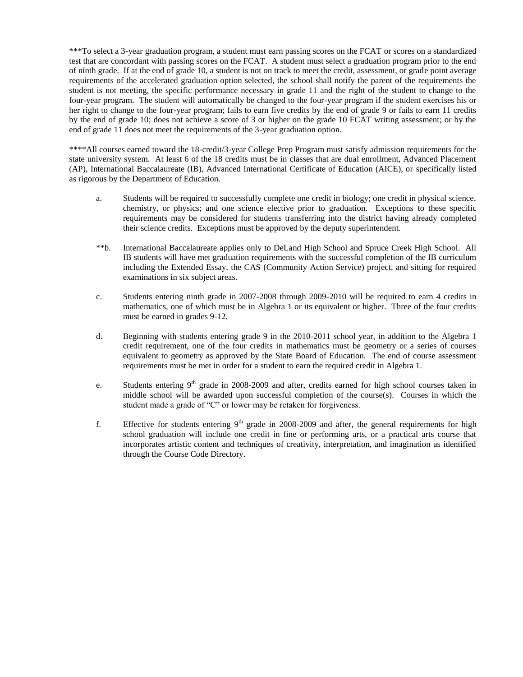\*\*\*To select a 3-year graduation program, a student must earn passing scores on the FCAT or scores on a standardized test that are concordant with passing scores on the FCAT. A student must select a graduation program prior to the end of ninth grade. If at the end of grade 10, a student is not on track to meet the credit, assessment, or grade point average requirements of the accelerated graduation option selected, the school shall notify the parent of the requirements the student is not meeting, the specific performance necessary in grade 11 and the right of the student to change to the four-year program. The student will automatically be changed to the four-year program if the student exercises his or her right to change to the four-year program; fails to earn five credits by the end of grade 9 or fails to earn 11 credits by the end of grade 10; does not achieve a score of 3 or higher on the grade 10 FCAT writing assessment; or by the end of grade 11 does not meet the requirements of the 3-year graduation option.

\*\*\*\*All courses earned toward the 18-credit/3-year College Prep Program must satisfy admission requirements for the state university system. At least 6 of the 18 credits must be in classes that are dual enrollment, Advanced Placement (AP), International Baccalaureate (IB), Advanced International Certificate of Education (AICE), or specifically listed as rigorous by the Department of Education.

- a. Students will be required to successfully complete one credit in biology; one credit in physical science, chemistry, or physics; and one science elective prior to graduation. Exceptions to these specific requirements may be considered for students transferring into the district having already completed their science credits. Exceptions must be approved by the deputy superintendent.
- \*\*b. International Baccalaureate applies only to DeLand High School and Spruce Creek High School. All IB students will have met graduation requirements with the successful completion of the IB curriculum including the Extended Essay, the CAS (Community Action Service) project, and sitting for required examinations in six subject areas.
- c. Students entering ninth grade in 2007-2008 through 2009-2010 will be required to earn 4 credits in mathematics, one of which must be in Algebra 1 or its equivalent or higher. Three of the four credits must be earned in grades 9-12.
- d. Beginning with students entering grade 9 in the 2010-2011 school year, in addition to the Algebra 1 credit requirement, one of the four credits in mathematics must be geometry or a series of courses equivalent to geometry as approved by the State Board of Education. The end of course assessment requirements must be met in order for a student to earn the required credit in Algebra 1.
- e. Students entering  $9<sup>th</sup>$  grade in 2008-2009 and after, credits earned for high school courses taken in middle school will be awarded upon successful completion of the course(s). Courses in which the student made a grade of "C" or lower may be retaken for forgiveness.
- f. Effective for students entering  $9<sup>th</sup>$  grade in 2008-2009 and after, the general requirements for high school graduation will include one credit in fine or performing arts, or a practical arts course that incorporates artistic content and techniques of creativity, interpretation, and imagination as identified through the Course Code Directory.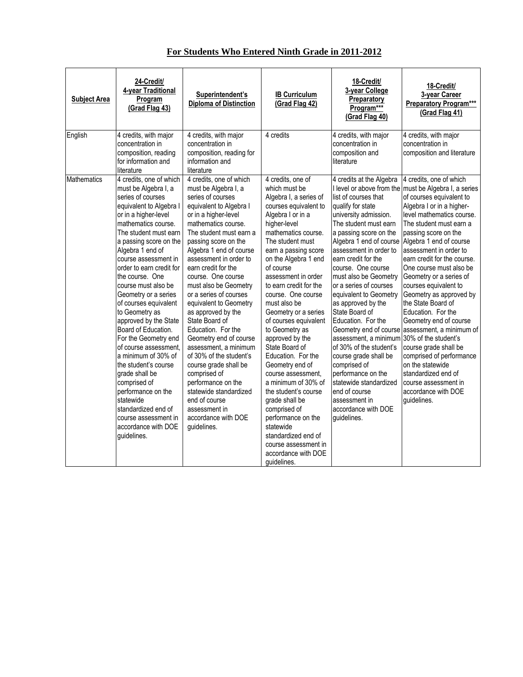## **For Students Who Entered Ninth Grade in 2011-2012**

| <b>Subject Area</b> | 24-Credit/<br>4-year Traditional<br>Program<br>(Grad Flag 43)                                                                                                                                                                                                                                                                                                                                                                                                                                                                                                                                                                                                                                    | Superintendent's<br><b>Diploma of Distinction</b>                                                                                                                                                                                                                                                                                                                                                                                                                                                                                                                                                                                                                                             | <b>IB Curriculum</b><br>(Grad Flag 42)                                                                                                                                                                                                                                                                                                                                                                                                                                                                                                                                                                                                                                                                    | 18-Credit/<br>3-year College<br>Preparatory<br>Program***<br>(Grad Flag 40)                                                                                                                                                                                                                                                                                                                                                                                                                                                                                                                                                              | 18-Credit/<br>3-year Career<br><b>Preparatory Program***</b><br>(Grad Flag 41)                                                                                                                                                                                                                                                                                                                                                                                                                                                                                                                                                                                                                                 |
|---------------------|--------------------------------------------------------------------------------------------------------------------------------------------------------------------------------------------------------------------------------------------------------------------------------------------------------------------------------------------------------------------------------------------------------------------------------------------------------------------------------------------------------------------------------------------------------------------------------------------------------------------------------------------------------------------------------------------------|-----------------------------------------------------------------------------------------------------------------------------------------------------------------------------------------------------------------------------------------------------------------------------------------------------------------------------------------------------------------------------------------------------------------------------------------------------------------------------------------------------------------------------------------------------------------------------------------------------------------------------------------------------------------------------------------------|-----------------------------------------------------------------------------------------------------------------------------------------------------------------------------------------------------------------------------------------------------------------------------------------------------------------------------------------------------------------------------------------------------------------------------------------------------------------------------------------------------------------------------------------------------------------------------------------------------------------------------------------------------------------------------------------------------------|------------------------------------------------------------------------------------------------------------------------------------------------------------------------------------------------------------------------------------------------------------------------------------------------------------------------------------------------------------------------------------------------------------------------------------------------------------------------------------------------------------------------------------------------------------------------------------------------------------------------------------------|----------------------------------------------------------------------------------------------------------------------------------------------------------------------------------------------------------------------------------------------------------------------------------------------------------------------------------------------------------------------------------------------------------------------------------------------------------------------------------------------------------------------------------------------------------------------------------------------------------------------------------------------------------------------------------------------------------------|
| English             | 4 credits, with major<br>concentration in<br>composition, reading<br>for information and<br>literature                                                                                                                                                                                                                                                                                                                                                                                                                                                                                                                                                                                           | 4 credits, with major<br>concentration in<br>composition, reading for<br>information and<br>literature                                                                                                                                                                                                                                                                                                                                                                                                                                                                                                                                                                                        | 4 credits                                                                                                                                                                                                                                                                                                                                                                                                                                                                                                                                                                                                                                                                                                 | 4 credits, with major<br>concentration in<br>composition and<br>literature                                                                                                                                                                                                                                                                                                                                                                                                                                                                                                                                                               | 4 credits, with major<br>concentration in<br>composition and literature                                                                                                                                                                                                                                                                                                                                                                                                                                                                                                                                                                                                                                        |
| <b>Mathematics</b>  | 4 credits, one of which<br>must be Algebra I, a<br>series of courses<br>equivalent to Algebra I<br>or in a higher-level<br>mathematics course.<br>The student must earn<br>a passing score on the<br>Algebra 1 end of<br>course assessment in<br>order to earn credit for<br>the course. One<br>course must also be<br>Geometry or a series<br>of courses equivalent<br>to Geometry as<br>approved by the State<br>Board of Education.<br>For the Geometry end<br>of course assessment.<br>a minimum of 30% of<br>the student's course<br>grade shall be<br>comprised of<br>performance on the<br>statewide<br>standardized end of<br>course assessment in<br>accordance with DOE<br>guidelines. | 4 credits, one of which<br>must be Algebra I, a<br>series of courses<br>equivalent to Algebra I<br>or in a higher-level<br>mathematics course.<br>The student must earn a<br>passing score on the<br>Algebra 1 end of course<br>assessment in order to<br>earn credit for the<br>course. One course<br>must also be Geometry<br>or a series of courses<br>equivalent to Geometry<br>as approved by the<br>State Board of<br>Education. For the<br>Geometry end of course<br>assessment, a minimum<br>of 30% of the student's<br>course grade shall be<br>comprised of<br>performance on the<br>statewide standardized<br>end of course<br>assessment in<br>accordance with DOE<br>guidelines. | 4 credits, one of<br>which must be<br>Algebra I, a series of<br>courses equivalent to<br>Algebra I or in a<br>higher-level<br>mathematics course.<br>The student must<br>earn a passing score<br>on the Algebra 1 end<br>of course<br>assessment in order<br>to earn credit for the<br>course. One course<br>must also be<br>Geometry or a series<br>of courses equivalent<br>to Geometry as<br>approved by the<br>State Board of<br>Education. For the<br>Geometry end of<br>course assessment.<br>a minimum of 30% of<br>the student's course<br>grade shall be<br>comprised of<br>performance on the<br>statewide<br>standardized end of<br>course assessment in<br>accordance with DOE<br>quidelines. | 4 credits at the Algebra<br>list of courses that<br>qualify for state<br>university admission.<br>The student must earn<br>a passing score on the<br>Algebra 1 end of course<br>assessment in order to<br>earn credit for the<br>course. One course<br>must also be Geometry<br>or a series of courses<br>equivalent to Geometry<br>as approved by the<br>State Board of<br>Education. For the<br>assessment, a minimum 30% of the student's<br>of 30% of the student's<br>course grade shall be<br>comprised of<br>performance on the<br>statewide standardized<br>end of course<br>assessment in<br>accordance with DOE<br>guidelines. | 4 credits, one of which<br>I level or above from the must be Algebra I, a series<br>of courses equivalent to<br>Algebra I or in a higher-<br>level mathematics course.<br>The student must earn a<br>passing score on the<br>Algebra 1 end of course<br>assessment in order to<br>earn credit for the course.<br>One course must also be<br>Geometry or a series of<br>courses equivalent to<br>Geometry as approved by<br>the State Board of<br>Education. For the<br>Geometry end of course<br>Geometry end of course assessment, a minimum of<br>course grade shall be<br>comprised of performance<br>on the statewide<br>standardized end of<br>course assessment in<br>accordance with DOE<br>guidelines. |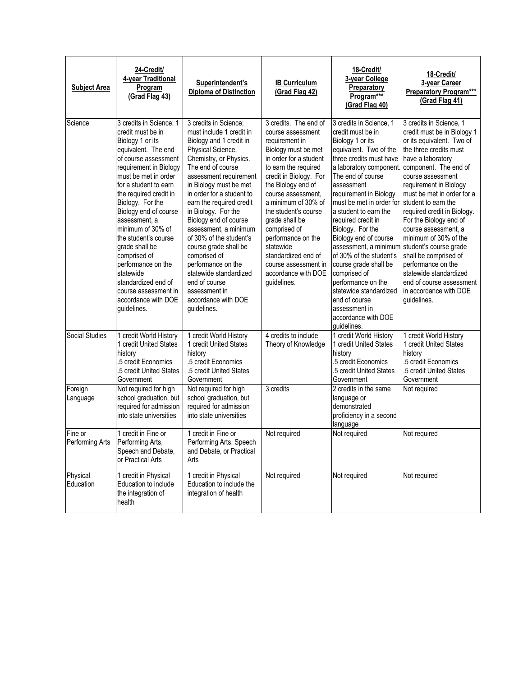| <b>Subject Area</b>        | 24-Credit/<br>4-year Traditional<br>Program<br>(Grad Flag 43)                                                                                                                                                                                                                                                                                                                                                                                                                             | Superintendent's<br><b>Diploma of Distinction</b>                                                                                                                                                                                                                                                                                                                                                                                                                                                                                  | <b>IB Curriculum</b><br>(Grad Flag 42)                                                                                                                                                                                                                                                                                                                                                                               | 18-Credit/<br>3-year College<br>Preparatory<br>Program***<br>(Grad Flag 40)                                                                                                                                                                                                                                                                                                                                                                                                                                                                                | 18-Credit/<br>3-year Career<br><b>Preparatory Program***</b><br>(Grad Flag 41)                                                                                                                                                                                                                                                                                                                                                                                                                                                                    |
|----------------------------|-------------------------------------------------------------------------------------------------------------------------------------------------------------------------------------------------------------------------------------------------------------------------------------------------------------------------------------------------------------------------------------------------------------------------------------------------------------------------------------------|------------------------------------------------------------------------------------------------------------------------------------------------------------------------------------------------------------------------------------------------------------------------------------------------------------------------------------------------------------------------------------------------------------------------------------------------------------------------------------------------------------------------------------|----------------------------------------------------------------------------------------------------------------------------------------------------------------------------------------------------------------------------------------------------------------------------------------------------------------------------------------------------------------------------------------------------------------------|------------------------------------------------------------------------------------------------------------------------------------------------------------------------------------------------------------------------------------------------------------------------------------------------------------------------------------------------------------------------------------------------------------------------------------------------------------------------------------------------------------------------------------------------------------|---------------------------------------------------------------------------------------------------------------------------------------------------------------------------------------------------------------------------------------------------------------------------------------------------------------------------------------------------------------------------------------------------------------------------------------------------------------------------------------------------------------------------------------------------|
| Science                    | 3 credits in Science; 1<br>credit must be in<br>Biology 1 or its<br>equivalent. The end<br>of course assessment<br>requirement in Biology<br>must be met in order<br>for a student to earn<br>the required credit in<br>Biology. For the<br>Biology end of course<br>assessment, a<br>minimum of 30% of<br>the student's course<br>grade shall be<br>comprised of<br>performance on the<br>statewide<br>standardized end of<br>course assessment in<br>accordance with DOE<br>guidelines. | 3 credits in Science;<br>must include 1 credit in<br>Biology and 1 credit in<br>Physical Science,<br>Chemistry, or Physics.<br>The end of course<br>assessment requirement<br>in Biology must be met<br>in order for a student to<br>earn the required credit<br>in Biology. For the<br>Biology end of course<br>assessment, a minimum<br>of 30% of the student's<br>course grade shall be<br>comprised of<br>performance on the<br>statewide standardized<br>end of course<br>assessment in<br>accordance with DOE<br>guidelines. | 3 credits. The end of<br>course assessment<br>requirement in<br>Biology must be met<br>in order for a student<br>to earn the required<br>credit in Biology. For<br>the Biology end of<br>course assessment,<br>a minimum of 30% of<br>the student's course<br>grade shall be<br>comprised of<br>performance on the<br>statewide<br>standardized end of<br>course assessment in<br>accordance with DOE<br>guidelines. | 3 credits in Science, 1<br>credit must be in<br>Biology 1 or its<br>equivalent. Two of the<br>three credits must have<br>a laboratory component.<br>The end of course<br>assessment<br>requirement in Biology<br>must be met in order for<br>a student to earn the<br>required credit in<br>Biology. For the<br>Biology end of course<br>assessment, a minimum<br>of 30% of the student's<br>course grade shall be<br>comprised of<br>performance on the<br>statewide standardized<br>end of course<br>assessment in<br>accordance with DOE<br>guidelines. | 3 credits in Science, 1<br>credit must be in Biology 1<br>or its equivalent. Two of<br>the three credits must<br>have a laboratory<br>component. The end of<br>course assessment<br>requirement in Biology<br>must be met in order for a<br>student to earn the<br>required credit in Biology.<br>For the Biology end of<br>course assessment, a<br>minimum of 30% of the<br>student's course grade<br>shall be comprised of<br>performance on the<br>statewide standardized<br>end of course assessment<br>in accordance with DOE<br>guidelines. |
| <b>Social Studies</b>      | 1 credit World History<br>1 credit United States<br>history<br>.5 credit Economics<br>.5 credit United States<br>Government                                                                                                                                                                                                                                                                                                                                                               | 1 credit World History<br>1 credit United States<br>history<br>.5 credit Economics<br>.5 credit United States<br>Government                                                                                                                                                                                                                                                                                                                                                                                                        | 4 credits to include<br>Theory of Knowledge                                                                                                                                                                                                                                                                                                                                                                          | 1 credit World History<br>1 credit United States<br>history<br>5 credit Economics<br>.5 credit United States<br>Government                                                                                                                                                                                                                                                                                                                                                                                                                                 | 1 credit World History<br>1 credit United States<br>history<br>.5 credit Economics<br>.5 credit United States<br>Government                                                                                                                                                                                                                                                                                                                                                                                                                       |
| Foreign<br>Language        | Not required for high<br>school graduation, but<br>required for admission<br>into state universities                                                                                                                                                                                                                                                                                                                                                                                      | Not required for high<br>school graduation, but<br>required for admission<br>into state universities                                                                                                                                                                                                                                                                                                                                                                                                                               | 3 credits                                                                                                                                                                                                                                                                                                                                                                                                            | 2 credits in the same<br>language or<br>demonstrated<br>proficiency in a second<br>language                                                                                                                                                                                                                                                                                                                                                                                                                                                                | Not required                                                                                                                                                                                                                                                                                                                                                                                                                                                                                                                                      |
| Fine or<br>Performing Arts | 1 credit in Fine or<br>Performing Arts,<br>Speech and Debate,<br>or Practical Arts                                                                                                                                                                                                                                                                                                                                                                                                        | 1 credit in Fine or<br>Performing Arts, Speech<br>and Debate, or Practical<br>Arts                                                                                                                                                                                                                                                                                                                                                                                                                                                 | Not required                                                                                                                                                                                                                                                                                                                                                                                                         | Not required                                                                                                                                                                                                                                                                                                                                                                                                                                                                                                                                               | Not required                                                                                                                                                                                                                                                                                                                                                                                                                                                                                                                                      |
| Physical<br>Education      | 1 credit in Physical<br>Education to include<br>the integration of<br>health                                                                                                                                                                                                                                                                                                                                                                                                              | 1 credit in Physical<br>Education to include the<br>integration of health                                                                                                                                                                                                                                                                                                                                                                                                                                                          | Not required                                                                                                                                                                                                                                                                                                                                                                                                         | Not required                                                                                                                                                                                                                                                                                                                                                                                                                                                                                                                                               | Not required                                                                                                                                                                                                                                                                                                                                                                                                                                                                                                                                      |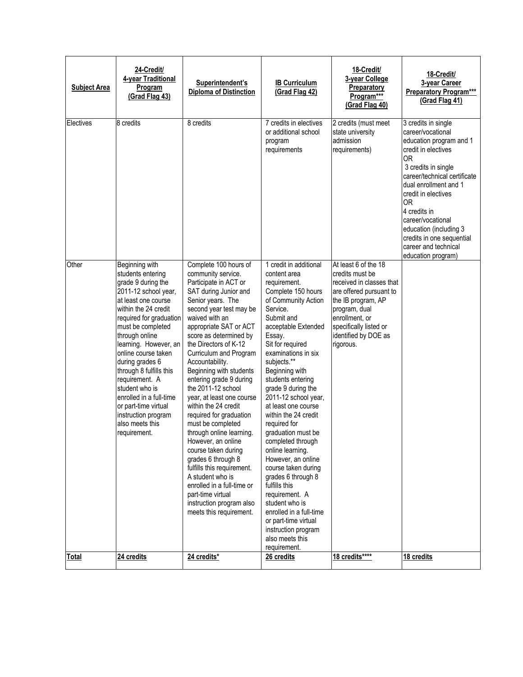| <b>Subject Area</b> | 24-Credit/<br>4-year Traditional<br>Program<br>(Grad Flag 43)                                                                                                                                                                                                                                                                                                                                                                                     | Superintendent's<br><b>Diploma of Distinction</b>                                                                                                                                                                                                                                                                                                                                                                                                                                                                                                                                                                                                                                                                                     | <b>IB Curriculum</b><br>(Grad Flag 42)                                                                                                                                                                                                                                                                                                                                                                                                                                                                                                                                                                                                                                           | 18-Credit/<br>3-year College<br>Preparatory<br>Program***<br>(Grad Flag 40)                                                                                                                                            | 18-Credit/<br>3-year Career<br><b>Preparatory Program***</b><br>(Grad Flag 41)                                                                                                                                                                                                                                                                                 |
|---------------------|---------------------------------------------------------------------------------------------------------------------------------------------------------------------------------------------------------------------------------------------------------------------------------------------------------------------------------------------------------------------------------------------------------------------------------------------------|---------------------------------------------------------------------------------------------------------------------------------------------------------------------------------------------------------------------------------------------------------------------------------------------------------------------------------------------------------------------------------------------------------------------------------------------------------------------------------------------------------------------------------------------------------------------------------------------------------------------------------------------------------------------------------------------------------------------------------------|----------------------------------------------------------------------------------------------------------------------------------------------------------------------------------------------------------------------------------------------------------------------------------------------------------------------------------------------------------------------------------------------------------------------------------------------------------------------------------------------------------------------------------------------------------------------------------------------------------------------------------------------------------------------------------|------------------------------------------------------------------------------------------------------------------------------------------------------------------------------------------------------------------------|----------------------------------------------------------------------------------------------------------------------------------------------------------------------------------------------------------------------------------------------------------------------------------------------------------------------------------------------------------------|
| Electives           | 8 credits                                                                                                                                                                                                                                                                                                                                                                                                                                         | 8 credits                                                                                                                                                                                                                                                                                                                                                                                                                                                                                                                                                                                                                                                                                                                             | 7 credits in electives<br>or additional school<br>program<br>requirements                                                                                                                                                                                                                                                                                                                                                                                                                                                                                                                                                                                                        | 2 credits (must meet<br>state university<br>admission<br>requirements)                                                                                                                                                 | 3 credits in single<br>career/vocational<br>education program and 1<br>credit in electives<br><b>OR</b><br>3 credits in single<br>career/technical certificate<br>dual enrollment and 1<br>credit in electives<br>0R<br>4 credits in<br>career/vocational<br>education (including 3<br>credits in one sequential<br>career and technical<br>education program) |
| Other               | Beginning with<br>students entering<br>grade 9 during the<br>2011-12 school year,<br>at least one course<br>within the 24 credit<br>required for graduation<br>must be completed<br>through online<br>learning. However, an<br>online course taken<br>during grades 6<br>through 8 fulfills this<br>requirement. A<br>student who is<br>enrolled in a full-time<br>or part-time virtual<br>instruction program<br>also meets this<br>requirement. | Complete 100 hours of<br>community service.<br>Participate in ACT or<br>SAT during Junior and<br>Senior years. The<br>second year test may be<br>waived with an<br>appropriate SAT or ACT<br>score as determined by<br>the Directors of K-12<br>Curriculum and Program<br>Accountability.<br>Beginning with students<br>entering grade 9 during<br>the 2011-12 school<br>vear, at least one course<br>within the 24 credit<br>required for graduation<br>must be completed<br>through online learning.<br>However, an online<br>course taken during<br>grades 6 through 8<br>fulfills this requirement.<br>A student who is<br>enrolled in a full-time or<br>part-time virtual<br>instruction program also<br>meets this requirement. | 1 credit in additional<br>content area<br>requirement.<br>Complete 150 hours<br>of Community Action<br>Service.<br>Submit and<br>acceptable Extended<br>Essay.<br>Sit for required<br>examinations in six<br>subjects.**<br>Beginning with<br>students entering<br>grade 9 during the<br>2011-12 school year,<br>at least one course<br>within the 24 credit<br>required for<br>graduation must be<br>completed through<br>online learning.<br>However, an online<br>course taken during<br>grades 6 through 8<br>fulfills this<br>requirement. A<br>student who is<br>enrolled in a full-time<br>or part-time virtual<br>instruction program<br>also meets this<br>requirement. | At least 6 of the 18<br>credits must be<br>received in classes that<br>are offered pursuant to<br>the IB program, AP<br>program, dual<br>enrollment, or<br>specifically listed or<br>identified by DOE as<br>rigorous. |                                                                                                                                                                                                                                                                                                                                                                |
| <b>Total</b>        | 24 credits                                                                                                                                                                                                                                                                                                                                                                                                                                        | 24 credits*                                                                                                                                                                                                                                                                                                                                                                                                                                                                                                                                                                                                                                                                                                                           | 26 credits                                                                                                                                                                                                                                                                                                                                                                                                                                                                                                                                                                                                                                                                       | 18 credits****                                                                                                                                                                                                         | 18 credits                                                                                                                                                                                                                                                                                                                                                     |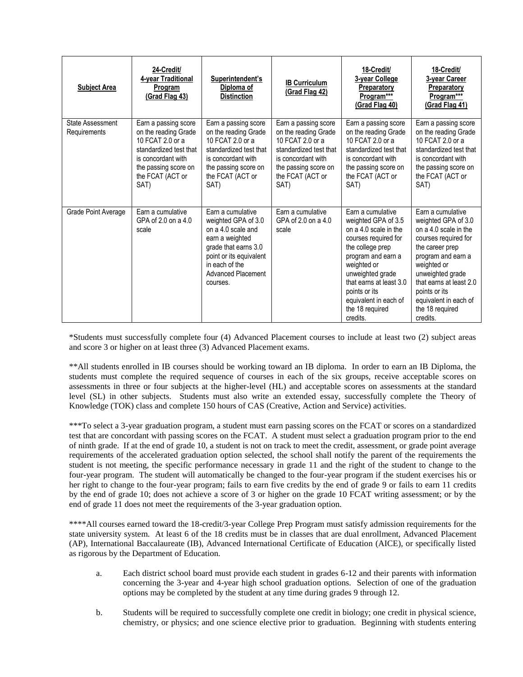| <b>Subject Area</b>              | 24-Credit/<br>4-year Traditional<br>Program<br>(Grad Flag 43)                                                                                                        | Superintendent's<br>Diploma of<br><b>Distinction</b>                                                                                                                                            | <b>IB Curriculum</b><br>(Grad Flag 42)                                                                                                                               | 18-Credit/<br>3-year College<br><b>Preparatory</b><br>Program***<br>(Grad Flag 40)                                                                                                                                                                                         | 18-Credit/<br>3-year Career<br>Preparatory<br>Program***<br>(Grad Flag 41)                                                                                                                                                                                                |
|----------------------------------|----------------------------------------------------------------------------------------------------------------------------------------------------------------------|-------------------------------------------------------------------------------------------------------------------------------------------------------------------------------------------------|----------------------------------------------------------------------------------------------------------------------------------------------------------------------|----------------------------------------------------------------------------------------------------------------------------------------------------------------------------------------------------------------------------------------------------------------------------|---------------------------------------------------------------------------------------------------------------------------------------------------------------------------------------------------------------------------------------------------------------------------|
| State Assessment<br>Requirements | Earn a passing score<br>on the reading Grade<br>10 FCAT 2.0 or a<br>standardized test that<br>is concordant with<br>the passing score on<br>the FCAT (ACT or<br>SAT) | Earn a passing score<br>on the reading Grade<br>10 FCAT 2.0 or a<br>standardized test that<br>is concordant with<br>the passing score on<br>the FCAT (ACT or<br>SAT)                            | Earn a passing score<br>on the reading Grade<br>10 FCAT 2.0 or a<br>standardized test that<br>is concordant with<br>the passing score on<br>the FCAT (ACT or<br>SAT) | Earn a passing score<br>on the reading Grade<br>10 FCAT 2.0 or a<br>standardized test that<br>is concordant with<br>the passing score on<br>the FCAT (ACT or<br>SAT)                                                                                                       | Earn a passing score<br>on the reading Grade<br>10 FCAT 2.0 or a<br>standardized test that<br>is concordant with<br>the passing score on<br>the FCAT (ACT or<br>SAT)                                                                                                      |
| Grade Point Average              | Earn a cumulative<br>GPA of 2.0 on a 4.0<br>scale                                                                                                                    | Earn a cumulative<br>weighted GPA of 3.0<br>on a 4.0 scale and<br>earn a weighted<br>grade that earns 3.0<br>point or its equivalent<br>in each of the<br><b>Advanced Placement</b><br>courses. | Earn a cumulative<br>GPA of 2.0 on a 4.0<br>scale                                                                                                                    | Earn a cumulative<br>weighted GPA of 3.5<br>on a 4.0 scale in the<br>courses required for<br>the college prep<br>program and earn a<br>weighted or<br>unweighted grade<br>that earns at least 3.0<br>points or its<br>equivalent in each of<br>the 18 required<br>credits. | Earn a cumulative<br>weighted GPA of 3.0<br>on a 4.0 scale in the<br>courses required for<br>the career prep<br>program and earn a<br>weighted or<br>unweighted grade<br>that earns at least 2.0<br>points or its<br>equivalent in each of<br>the 18 required<br>credits. |

\*Students must successfully complete four (4) Advanced Placement courses to include at least two (2) subject areas and score 3 or higher on at least three (3) Advanced Placement exams.

\*\*All students enrolled in IB courses should be working toward an IB diploma. In order to earn an IB Diploma, the students must complete the required sequence of courses in each of the six groups, receive acceptable scores on assessments in three or four subjects at the higher-level (HL) and acceptable scores on assessments at the standard level (SL) in other subjects. Students must also write an extended essay, successfully complete the Theory of Knowledge (TOK) class and complete 150 hours of CAS (Creative, Action and Service) activities.

\*\*\*To select a 3-year graduation program, a student must earn passing scores on the FCAT or scores on a standardized test that are concordant with passing scores on the FCAT. A student must select a graduation program prior to the end of ninth grade. If at the end of grade 10, a student is not on track to meet the credit, assessment, or grade point average requirements of the accelerated graduation option selected, the school shall notify the parent of the requirements the student is not meeting, the specific performance necessary in grade 11 and the right of the student to change to the four-year program. The student will automatically be changed to the four-year program if the student exercises his or her right to change to the four-year program; fails to earn five credits by the end of grade 9 or fails to earn 11 credits by the end of grade 10; does not achieve a score of 3 or higher on the grade 10 FCAT writing assessment; or by the end of grade 11 does not meet the requirements of the 3-year graduation option.

\*\*\*\*All courses earned toward the 18-credit/3-year College Prep Program must satisfy admission requirements for the state university system. At least 6 of the 18 credits must be in classes that are dual enrollment, Advanced Placement (AP), International Baccalaureate (IB), Advanced International Certificate of Education (AICE), or specifically listed as rigorous by the Department of Education.

- a. Each district school board must provide each student in grades 6-12 and their parents with information concerning the 3-year and 4-year high school graduation options. Selection of one of the graduation options may be completed by the student at any time during grades 9 through 12.
- b. Students will be required to successfully complete one credit in biology; one credit in physical science, chemistry, or physics; and one science elective prior to graduation. Beginning with students entering